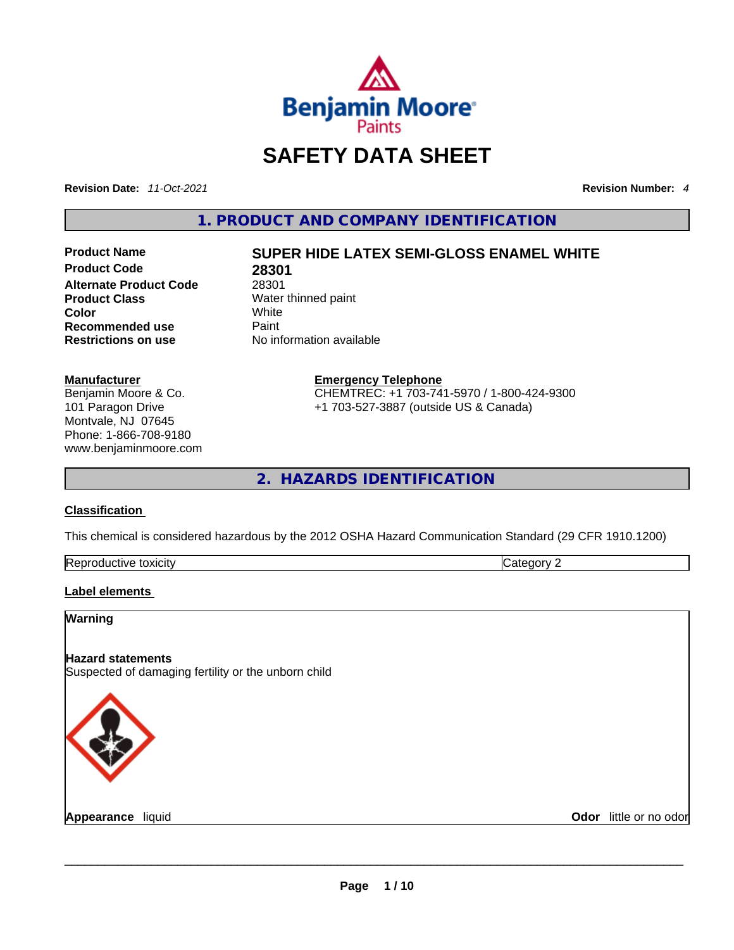

# **SAFETY DATA SHEET**

**Revision Date:** *11-Oct-2021* **Revision Number:** *4*

**1. PRODUCT AND COMPANY IDENTIFICATION** 

**Product Code 28301**<br>**Alternate Product Code** 28301 **Alternate Product Code**<br>**Product Class Product Class** Water thinned paint<br> **Color Color** White **Recommended use** Paint<br> **Restrictions on use** Mo information available **Restrictions** on use

# **Product Name SUPER HIDE LATEX SEMI-GLOSS ENAMEL WHITE**

#### **Manufacturer**

Benjamin Moore & Co. 101 Paragon Drive Montvale, NJ 07645 Phone: 1-866-708-9180 www.benjaminmoore.com

#### **Emergency Telephone** CHEMTREC: +1 703-741-5970 / 1-800-424-9300

+1 703-527-3887 (outside US & Canada)

**2. HAZARDS IDENTIFICATION** 

### **Classification**

This chemical is considered hazardous by the 2012 OSHA Hazard Communication Standard (29 CFR 1910.1200)

| Rer<br>toxicity<br>quetive | . |
|----------------------------|---|

### **Label elements**

| <b>Warning</b>                                                                  |                        |
|---------------------------------------------------------------------------------|------------------------|
| <b>Hazard statements</b><br>Suspected of damaging fertility or the unborn child |                        |
|                                                                                 |                        |
| Appearance liquid                                                               | Odor little or no odor |
|                                                                                 |                        |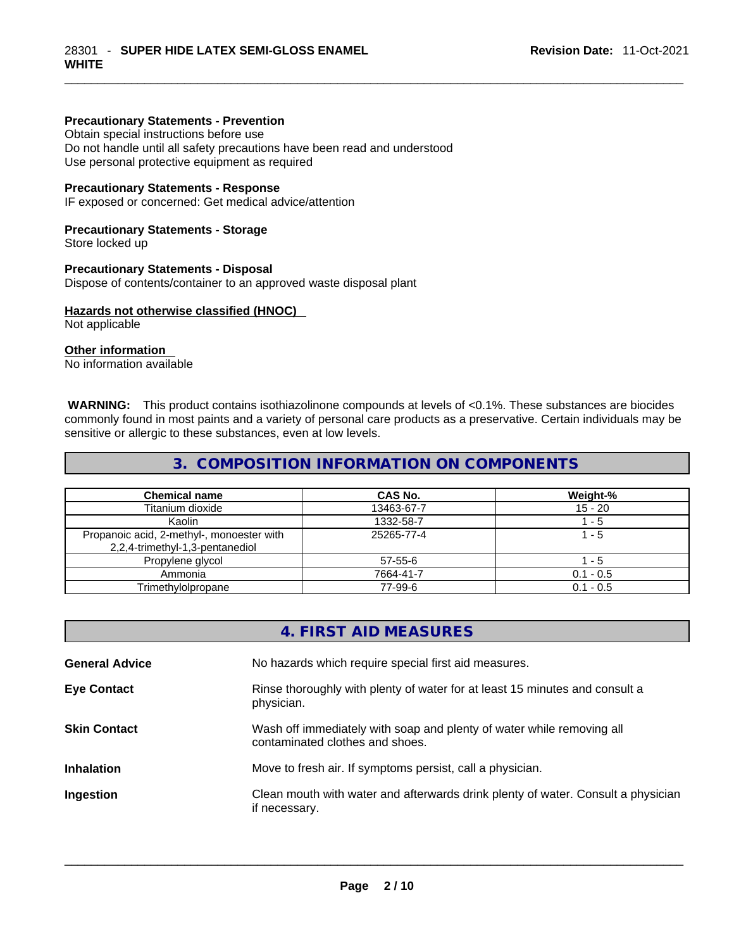#### **Precautionary Statements - Prevention**

Obtain special instructions before use

Do not handle until all safety precautions have been read and understood Use personal protective equipment as required

#### **Precautionary Statements - Response**

IF exposed or concerned: Get medical advice/attention

#### **Precautionary Statements - Storage**

Store locked up

#### **Precautionary Statements - Disposal**

Dispose of contents/container to an approved waste disposal plant

#### **Hazards not otherwise classified (HNOC)**

Not applicable

# **Other information**

No information available

 **WARNING:** This product contains isothiazolinone compounds at levels of <0.1%. These substances are biocides commonly found in most paints and a variety of personal care products as a preservative. Certain individuals may be sensitive or allergic to these substances, even at low levels.

## **3. COMPOSITION INFORMATION ON COMPONENTS**

| <b>Chemical name</b>                                                         | CAS No.    | Weight-%    |
|------------------------------------------------------------------------------|------------|-------------|
| Titanium dioxide                                                             | 13463-67-7 | $15 - 20$   |
| Kaolin                                                                       | 1332-58-7  | - 5         |
| Propanoic acid, 2-methyl-, monoester with<br>2,2,4-trimethyl-1,3-pentanediol | 25265-77-4 | 1 - 5       |
| Propylene glycol                                                             | 57-55-6    | - 5         |
| Ammonia                                                                      | 7664-41-7  | $0.1 - 0.5$ |
| Trimethylolpropane                                                           | 77-99-6    | $0.1 - 0.5$ |

| 4. FIRST AID MEASURES                                                                                    |
|----------------------------------------------------------------------------------------------------------|
| No hazards which require special first aid measures.                                                     |
| Rinse thoroughly with plenty of water for at least 15 minutes and consult a<br>physician.                |
| Wash off immediately with soap and plenty of water while removing all<br>contaminated clothes and shoes. |
| Move to fresh air. If symptoms persist, call a physician.                                                |
| Clean mouth with water and afterwards drink plenty of water. Consult a physician<br>if necessary.        |
|                                                                                                          |
|                                                                                                          |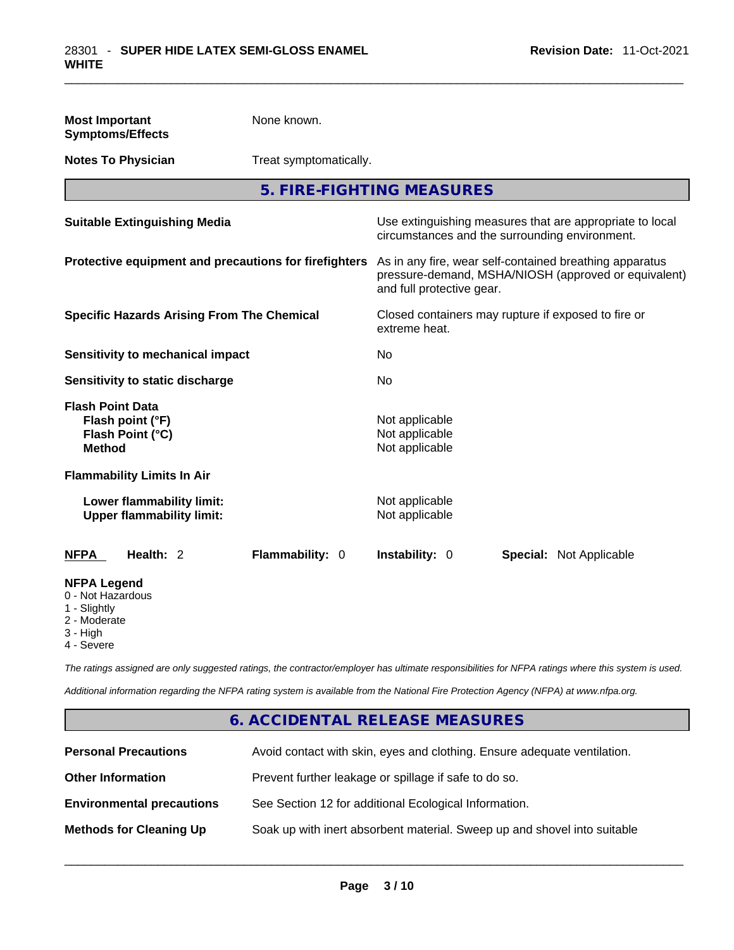| <b>Most Important</b><br><b>Symptoms/Effects</b>                                                  | None known.            |                                                                                                                                              |  |                                                          |
|---------------------------------------------------------------------------------------------------|------------------------|----------------------------------------------------------------------------------------------------------------------------------------------|--|----------------------------------------------------------|
| <b>Notes To Physician</b>                                                                         | Treat symptomatically. |                                                                                                                                              |  |                                                          |
|                                                                                                   |                        | 5. FIRE-FIGHTING MEASURES                                                                                                                    |  |                                                          |
| <b>Suitable Extinguishing Media</b>                                                               |                        | circumstances and the surrounding environment.                                                                                               |  | Use extinguishing measures that are appropriate to local |
| Protective equipment and precautions for firefighters                                             |                        | As in any fire, wear self-contained breathing apparatus<br>pressure-demand, MSHA/NIOSH (approved or equivalent)<br>and full protective gear. |  |                                                          |
| <b>Specific Hazards Arising From The Chemical</b>                                                 |                        | Closed containers may rupture if exposed to fire or<br>extreme heat.                                                                         |  |                                                          |
| <b>Sensitivity to mechanical impact</b>                                                           |                        | No.                                                                                                                                          |  |                                                          |
| Sensitivity to static discharge                                                                   |                        | No                                                                                                                                           |  |                                                          |
| <b>Flash Point Data</b><br>Flash point (°F)<br>Flash Point (°C)<br><b>Method</b>                  |                        | Not applicable<br>Not applicable<br>Not applicable                                                                                           |  |                                                          |
| <b>Flammability Limits In Air</b>                                                                 |                        |                                                                                                                                              |  |                                                          |
| Lower flammability limit:<br><b>Upper flammability limit:</b>                                     |                        | Not applicable<br>Not applicable                                                                                                             |  |                                                          |
| Health: 2<br>NFPA                                                                                 | Flammability: 0        | Instability: 0                                                                                                                               |  | <b>Special: Not Applicable</b>                           |
| <b>NFPA Legend</b><br>0 - Not Hazardous<br>1 - Slightly<br>2 - Moderate<br>3 - High<br>4 - Severe |                        |                                                                                                                                              |  |                                                          |

*The ratings assigned are only suggested ratings, the contractor/employer has ultimate responsibilities for NFPA ratings where this system is used.* 

*Additional information regarding the NFPA rating system is available from the National Fire Protection Agency (NFPA) at www.nfpa.org.* 

# **6. ACCIDENTAL RELEASE MEASURES**

| <b>Personal Precautions</b>      | Avoid contact with skin, eyes and clothing. Ensure adequate ventilation. |
|----------------------------------|--------------------------------------------------------------------------|
| <b>Other Information</b>         | Prevent further leakage or spillage if safe to do so.                    |
| <b>Environmental precautions</b> | See Section 12 for additional Ecological Information.                    |
| <b>Methods for Cleaning Up</b>   | Soak up with inert absorbent material. Sweep up and shovel into suitable |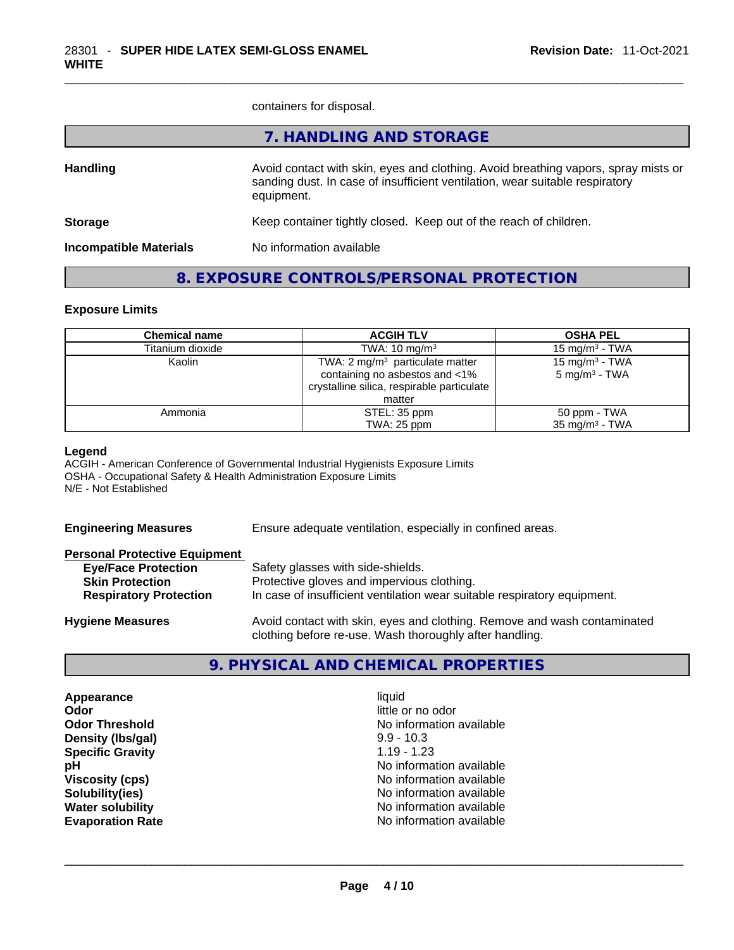containers for disposal.

|                               | 7. HANDLING AND STORAGE                                                                                                                                                          |
|-------------------------------|----------------------------------------------------------------------------------------------------------------------------------------------------------------------------------|
| <b>Handling</b>               | Avoid contact with skin, eyes and clothing. Avoid breathing vapors, spray mists or<br>sanding dust. In case of insufficient ventilation, wear suitable respiratory<br>equipment. |
| <b>Storage</b>                | Keep container tightly closed. Keep out of the reach of children.                                                                                                                |
| <b>Incompatible Materials</b> | No information available                                                                                                                                                         |
|                               |                                                                                                                                                                                  |

# **8. EXPOSURE CONTROLS/PERSONAL PROTECTION**

#### **Exposure Limits**

| <b>Chemical name</b> | <b>ACGIH TLV</b>                           | <b>OSHA PEL</b>            |
|----------------------|--------------------------------------------|----------------------------|
| Titanium dioxide     | TWA: $10 \text{ mg/m}^3$                   | 15 mg/m $3$ - TWA          |
| Kaolin               | TWA: $2 \text{ mg/m}^3$ particulate matter | 15 mg/m <sup>3</sup> - TWA |
|                      | containing no asbestos and <1%             | $5 \text{ mg/m}^3$ - TWA   |
|                      | crystalline silica, respirable particulate |                            |
|                      | matter                                     |                            |
| Ammonia              | STEL: 35 ppm                               | 50 ppm - TWA               |
|                      | TWA: 25 ppm                                | $35 \text{ mg/m}^3$ - TWA  |

#### **Legend**

ACGIH - American Conference of Governmental Industrial Hygienists Exposure Limits OSHA - Occupational Safety & Health Administration Exposure Limits N/E - Not Established

| <b>Engineering Measures</b>          | Ensure adequate ventilation, especially in confined areas.               |  |  |
|--------------------------------------|--------------------------------------------------------------------------|--|--|
| <b>Personal Protective Equipment</b> |                                                                          |  |  |
| <b>Eye/Face Protection</b>           | Safety glasses with side-shields.                                        |  |  |
| <b>Skin Protection</b>               | Protective gloves and impervious clothing.                               |  |  |
| <b>Respiratory Protection</b>        | In case of insufficient ventilation wear suitable respiratory equipment. |  |  |
| <b>Hygiene Measures</b>              | Avoid contact with skin, eyes and clothing. Remove and wash contaminated |  |  |

# **9. PHYSICAL AND CHEMICAL PROPERTIES**

clothing before re-use. Wash thoroughly after handling.

**Appearance** liquid **Odor**<br> **Odor Threshold**<br> **Odor Threshold**<br> **CODOR**<br> **CODOR**<br> **CODOR**<br> **CODOR**<br> **CODOR**<br> **CODOR**<br> **CODOR**<br> **CODOR**<br> **CODOR Density (Ibs/gal)** 9.9 - 10.3<br> **Specific Gravity** 1.19 - 1.23 **Specific Gravity**<br>pH

**No information available No information available Viscosity (cps) Viscosity (cps) No information available Solubility(ies)** No information available **Water solubility**  No information available **Evaporation Rate** No information available \_\_\_\_\_\_\_\_\_\_\_\_\_\_\_\_\_\_\_\_\_\_\_\_\_\_\_\_\_\_\_\_\_\_\_\_\_\_\_\_\_\_\_\_\_\_\_\_\_\_\_\_\_\_\_\_\_\_\_\_\_\_\_\_\_\_\_\_\_\_\_\_\_\_\_\_\_\_\_\_\_\_\_\_\_\_\_\_\_\_\_\_\_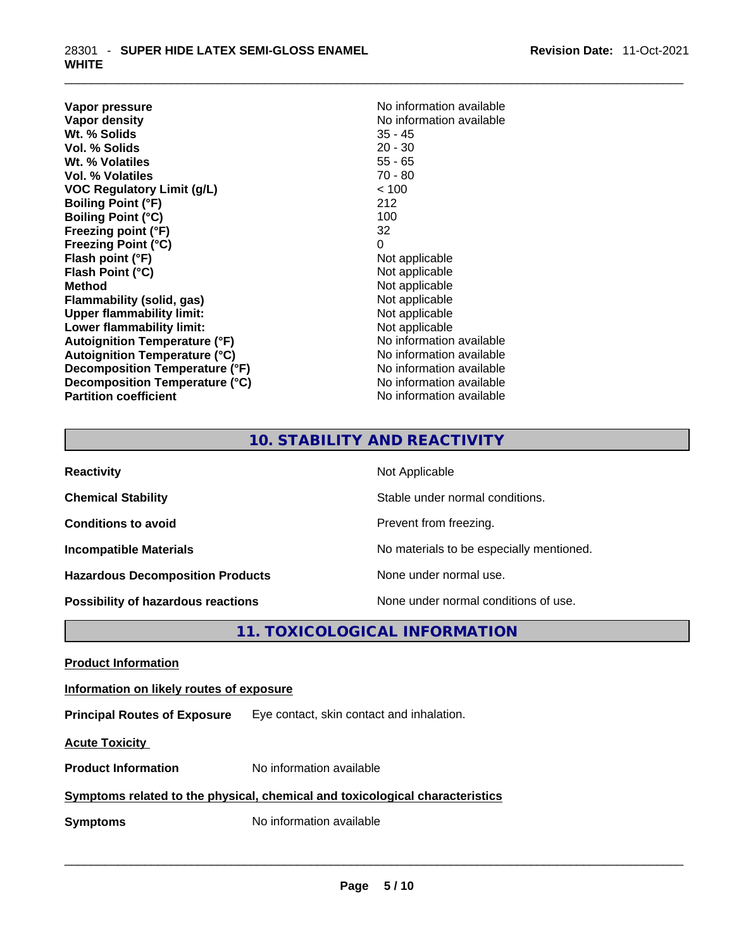**Vapor pressure Vapor pressure No information available Vapor density**<br> **We Solids**<br>
We Solids
25 - 45 **Wt. % Solids** 35 - 45 **Vol. % Solids Wt. % Volatiles** 55 - 65 **Vol. % Volatiles** 70 - 80 **VOC Regulatory Limit (g/L)** < 100 **Boiling Point (°F)** 212 **Boiling Point (°C) Freezing point (°F)** 32 **Freezing Point (°C)** 0<br> **Flash point (°F)** 0<br>
Not applicable **Flash point (°F)** Not applicable **Flash Point (°C) Method**<br> **Plammability (solid, gas)**<br> **Plammability (solid, gas)**<br> **Not** applicable **Flammability** (solid, gas) **Upper flammability limit:** Not applicable **Lower flammability limit:**<br> **Autoignition Temperature (°F)**<br>
Mo information available **Autoignition Temperature (°F) Autoignition Temperature (°C)** No information available **Decomposition Temperature (°F)** No information available **Decomposition Temperature (°C)** No information available **Partition coefficient** No information available

# **10. STABILITY AND REACTIVITY**

| <b>Reactivity</b>                         | Not Applicable                           |
|-------------------------------------------|------------------------------------------|
| <b>Chemical Stability</b>                 | Stable under normal conditions.          |
| <b>Conditions to avoid</b>                | Prevent from freezing.                   |
| <b>Incompatible Materials</b>             | No materials to be especially mentioned. |
| <b>Hazardous Decomposition Products</b>   | None under normal use.                   |
| <b>Possibility of hazardous reactions</b> | None under normal conditions of use.     |

**11. TOXICOLOGICAL INFORMATION** 

**Product Information Information on likely routes of exposure Principal Routes of Exposure** Eye contact, skin contact and inhalation. **Acute Toxicity Product Information** No information available **Symptoms related to the physical, chemical and toxicological characteristics Symptoms** No information available **Notifically and the set of the set of the set of the set of the set of the set of the set of the set of the set of the set of the set of the set of the set of the set of the set of the**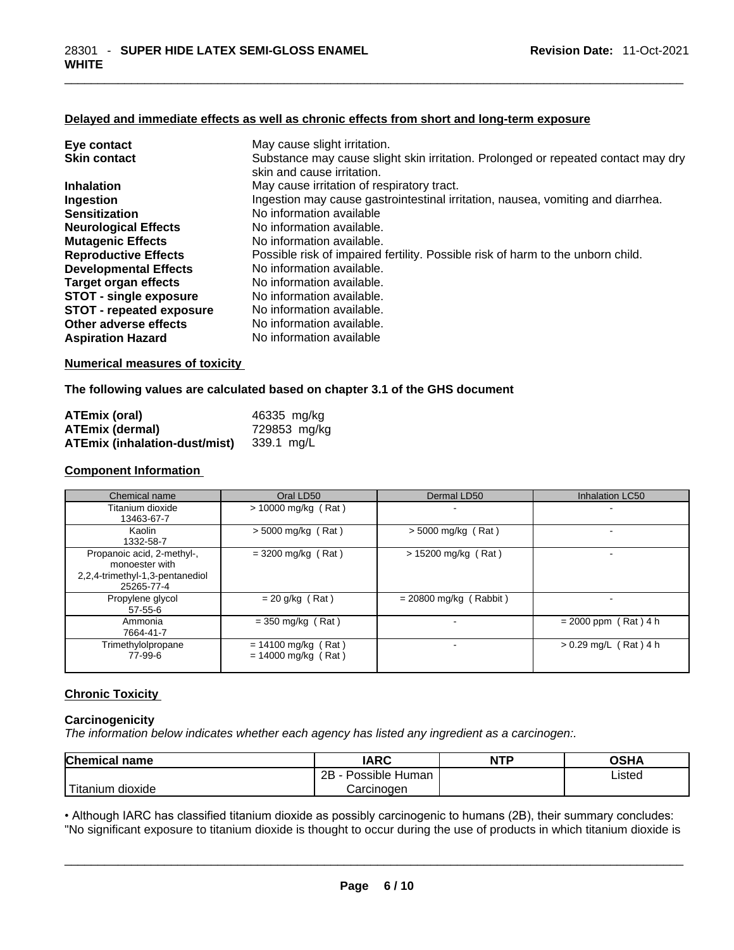## **Delayed and immediate effects as well as chronic effects from short and long-term exposure**

| Eye contact                     | May cause slight irritation.                                                      |
|---------------------------------|-----------------------------------------------------------------------------------|
| <b>Skin contact</b>             | Substance may cause slight skin irritation. Prolonged or repeated contact may dry |
|                                 | skin and cause irritation.                                                        |
| <b>Inhalation</b>               | May cause irritation of respiratory tract.                                        |
| Ingestion                       | Ingestion may cause gastrointestinal irritation, nausea, vomiting and diarrhea.   |
| <b>Sensitization</b>            | No information available                                                          |
| <b>Neurological Effects</b>     | No information available.                                                         |
| <b>Mutagenic Effects</b>        | No information available.                                                         |
| <b>Reproductive Effects</b>     | Possible risk of impaired fertility. Possible risk of harm to the unborn child.   |
| <b>Developmental Effects</b>    | No information available.                                                         |
| Target organ effects            | No information available.                                                         |
| <b>STOT - single exposure</b>   | No information available.                                                         |
| <b>STOT - repeated exposure</b> | No information available.                                                         |
| Other adverse effects           | No information available.                                                         |
| <b>Aspiration Hazard</b>        | No information available                                                          |

#### **Numerical measures of toxicity**

#### **The following values are calculated based on chapter 3.1 of the GHS document**

| <b>ATEmix (oral)</b>                     | 46335 mg/kg  |
|------------------------------------------|--------------|
| <b>ATEmix (dermal)</b>                   | 729853 mg/kg |
| ATEmix (inhalation-dust/mist) 339.1 mg/L |              |

#### **Component Information**

| Chemical name                                                                                 | Oral LD50                                      | Dermal LD50              | Inhalation LC50         |
|-----------------------------------------------------------------------------------------------|------------------------------------------------|--------------------------|-------------------------|
| Titanium dioxide<br>13463-67-7                                                                | > 10000 mg/kg (Rat)                            |                          |                         |
| Kaolin<br>1332-58-7                                                                           | $> 5000$ mg/kg (Rat)                           | $>$ 5000 mg/kg (Rat)     |                         |
| Propanoic acid, 2-methyl-,<br>monoester with<br>2,2,4-trimethyl-1,3-pentanediol<br>25265-77-4 | $=$ 3200 mg/kg (Rat)                           | > 15200 mg/kg (Rat)      |                         |
| Propylene glycol<br>$57 - 55 - 6$                                                             | $= 20$ g/kg (Rat)                              | $= 20800$ mg/kg (Rabbit) |                         |
| Ammonia<br>7664-41-7                                                                          | $=$ 350 mg/kg (Rat)                            |                          | $= 2000$ ppm (Rat) 4 h  |
| Trimethylolpropane<br>77-99-6                                                                 | $= 14100$ mg/kg (Rat)<br>$= 14000$ mg/kg (Rat) |                          | $> 0.29$ mg/L (Rat) 4 h |

#### **Chronic Toxicity**

### **Carcinogenicity**

*The information below indicates whether each agency has listed any ingredient as a carcinogen:.* 

| <b>Chemical name</b>    | IARC                 | <b>NTP</b> | OSHA   |
|-------------------------|----------------------|------------|--------|
|                         | Possible Human<br>2Β |            | ∟isted |
| ` Titanium 、<br>dioxide | Carcinoɑen           |            |        |

Titanium dioxide<br>
Carcinogen<br>
Carcinogen<br>
Carcinogen Listed<br>
Carcinogen Carcinogen Listed<br>
Carcinogen Carcinogen Listed<br>
Carcinogen Listed<br>
Carcinogen Listed<br>
Carcinogen Listed<br>
Carcinogen Listed<br>
Carcinogen Listed<br>
Carcin • Although IARC has classified titanium dioxide as possibly carcinogenic to humans (2B), their summary concludes: "No significant exposure to titanium dioxide is thought to occur during the use of products in which titanium dioxide is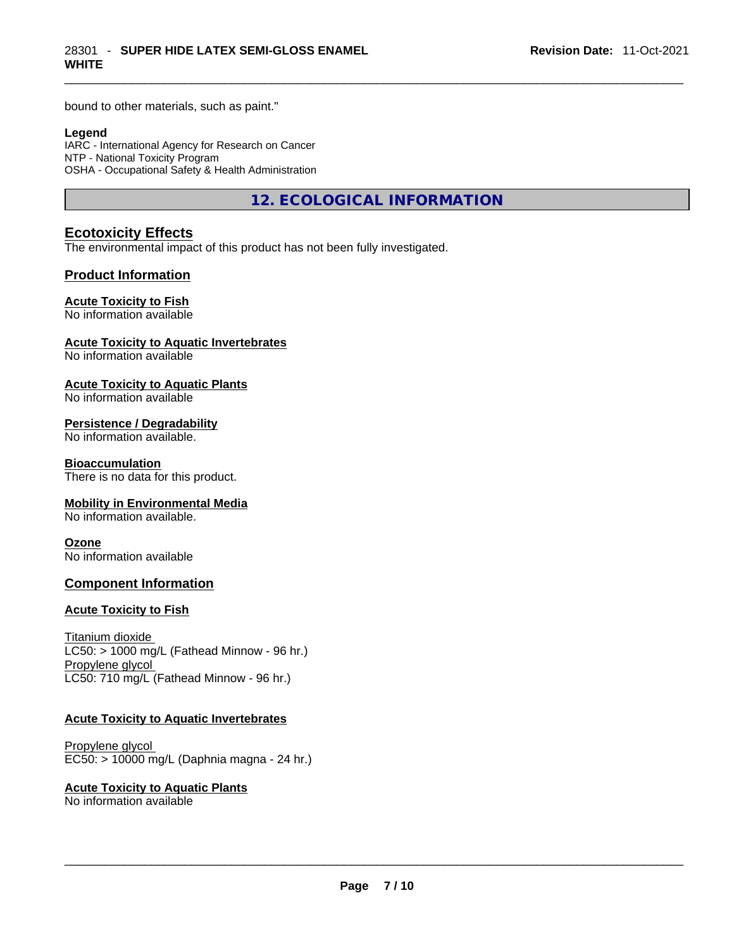bound to other materials, such as paint."

#### **Legend**

IARC - International Agency for Research on Cancer NTP - National Toxicity Program OSHA - Occupational Safety & Health Administration

**12. ECOLOGICAL INFORMATION** 

# **Ecotoxicity Effects**

The environmental impact of this product has not been fully investigated.

#### **Product Information**

#### **Acute Toxicity to Fish**

No information available

#### **Acute Toxicity to Aquatic Invertebrates**

No information available

#### **Acute Toxicity to Aquatic Plants**

No information available

#### **Persistence / Degradability**

No information available.

#### **Bioaccumulation**

There is no data for this product.

#### **Mobility in Environmental Media**

No information available.

#### **Ozone**

No information available

### **Component Information**

#### **Acute Toxicity to Fish**

Titanium dioxide  $LC50:$  > 1000 mg/L (Fathead Minnow - 96 hr.) Propylene glycol LC50: 710 mg/L (Fathead Minnow - 96 hr.)

#### **Acute Toxicity to Aquatic Invertebrates**

Propylene glycol EC50: > 10000 mg/L (Daphnia magna - 24 hr.)

#### **Acute Toxicity to Aquatic Plants**

No information available \_\_\_\_\_\_\_\_\_\_\_\_\_\_\_\_\_\_\_\_\_\_\_\_\_\_\_\_\_\_\_\_\_\_\_\_\_\_\_\_\_\_\_\_\_\_\_\_\_\_\_\_\_\_\_\_\_\_\_\_\_\_\_\_\_\_\_\_\_\_\_\_\_\_\_\_\_\_\_\_\_\_\_\_\_\_\_\_\_\_\_\_\_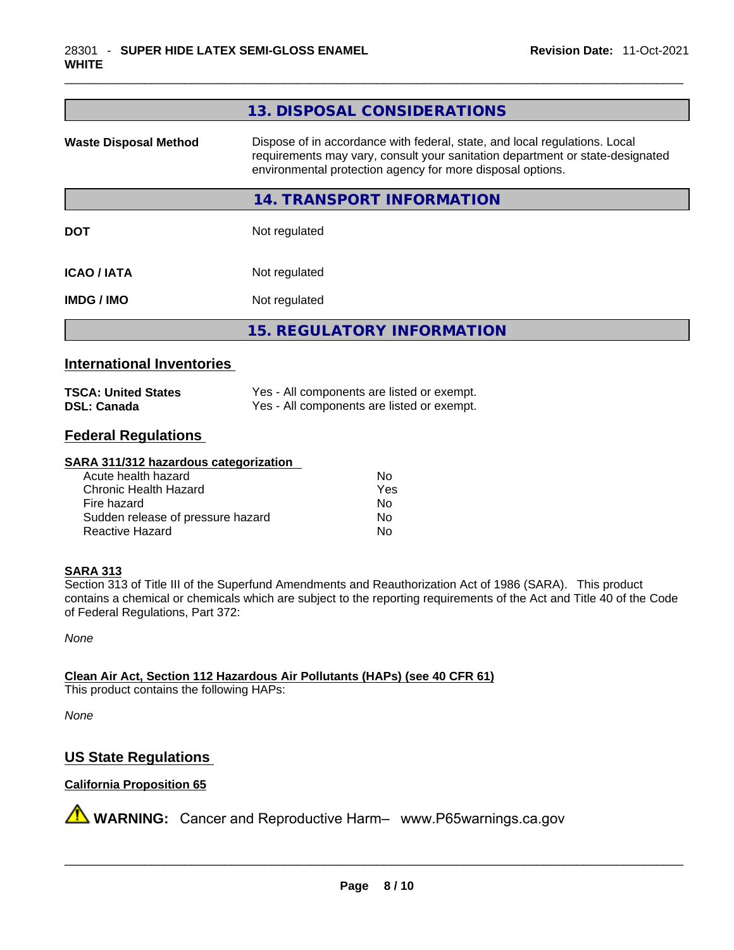| 13. DISPOSAL CONSIDERATIONS                                                                                                                                                                                               |
|---------------------------------------------------------------------------------------------------------------------------------------------------------------------------------------------------------------------------|
| Dispose of in accordance with federal, state, and local regulations. Local<br>requirements may vary, consult your sanitation department or state-designated<br>environmental protection agency for more disposal options. |
| 14. TRANSPORT INFORMATION                                                                                                                                                                                                 |
| Not regulated                                                                                                                                                                                                             |
| Not regulated                                                                                                                                                                                                             |
| Not regulated                                                                                                                                                                                                             |
| <b>15. REGULATORY INFORMATION</b>                                                                                                                                                                                         |
|                                                                                                                                                                                                                           |

# **International Inventories**

| <b>TSCA: United States</b> | Yes - All components are listed or exempt. |
|----------------------------|--------------------------------------------|
| <b>DSL: Canada</b>         | Yes - All components are listed or exempt. |

# **Federal Regulations**

#### **SARA 311/312 hazardous categorization**

| Acute health hazard               | Nο  |
|-----------------------------------|-----|
| Chronic Health Hazard             | Yes |
| Fire hazard                       | N٥  |
| Sudden release of pressure hazard | No  |
| Reactive Hazard                   | N٥  |

#### **SARA 313**

Section 313 of Title III of the Superfund Amendments and Reauthorization Act of 1986 (SARA). This product contains a chemical or chemicals which are subject to the reporting requirements of the Act and Title 40 of the Code of Federal Regulations, Part 372:

*None*

**Clean Air Act,Section 112 Hazardous Air Pollutants (HAPs) (see 40 CFR 61)** This product contains the following HAPs:

*None*

# **US State Regulations**

# **California Proposition 65**

**A** WARNING: Cancer and Reproductive Harm– www.P65warnings.ca.gov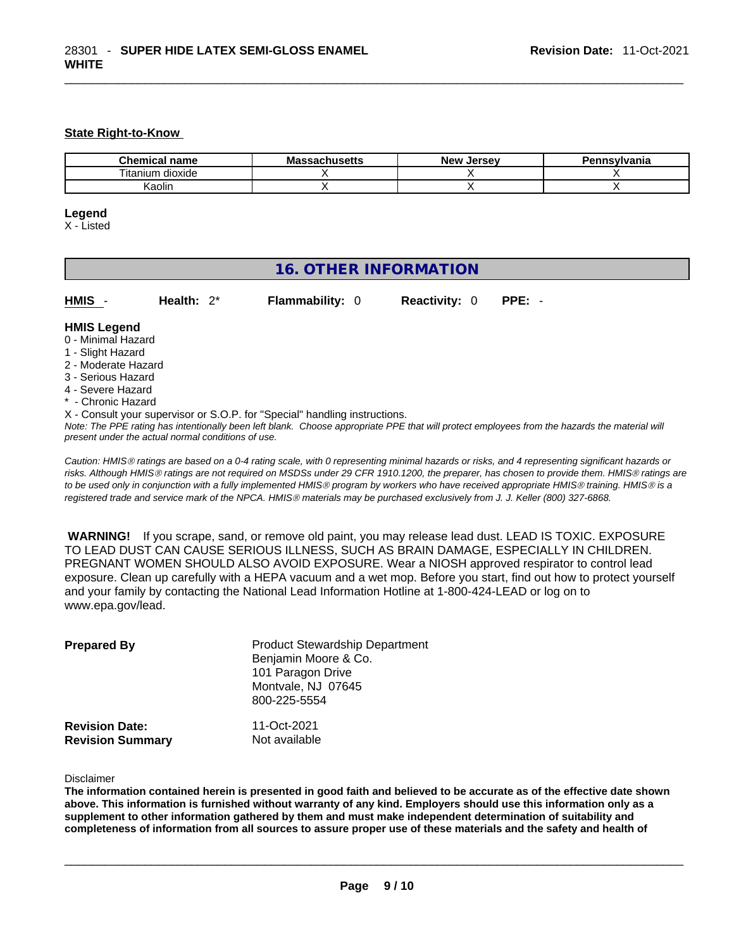#### **State Right-to-Know**

| <b>Chemical</b><br>name | <b>Massachusetts</b> | <b>New</b><br>. Jersev | Pennsylvania |
|-------------------------|----------------------|------------------------|--------------|
| <br>dioxide<br>litanium |                      |                        |              |
| (aolin                  |                      |                        |              |

#### **Legend**

X - Listed

# **16. OTHER INFORMATION**

| HMIS | Health: $2^*$ | <b>Flammability: 0</b> | <b>Reactivity: 0 PPE: -</b> |  |
|------|---------------|------------------------|-----------------------------|--|
|      |               |                        |                             |  |

#### **HMIS Legend**

- 0 Minimal Hazard
- 1 Slight Hazard
- 2 Moderate Hazard
- 3 Serious Hazard
- 4 Severe Hazard
- \* Chronic Hazard
- X Consult your supervisor or S.O.P. for "Special" handling instructions.

Note: The PPE rating has intentionally been left blank. Choose appropriate PPE that will protect employees from the hazards the material will *present under the actual normal conditions of use.* 

*Caution: HMISÒ ratings are based on a 0-4 rating scale, with 0 representing minimal hazards or risks, and 4 representing significant hazards or risks. Although HMISÒ ratings are not required on MSDSs under 29 CFR 1910.1200, the preparer, has chosen to provide them. HMISÒ ratings are to be used only in conjunction with a fully implemented HMISÒ program by workers who have received appropriate HMISÒ training. HMISÒ is a registered trade and service mark of the NPCA. HMISÒ materials may be purchased exclusively from J. J. Keller (800) 327-6868.* 

 **WARNING!** If you scrape, sand, or remove old paint, you may release lead dust. LEAD IS TOXIC. EXPOSURE TO LEAD DUST CAN CAUSE SERIOUS ILLNESS, SUCH AS BRAIN DAMAGE, ESPECIALLY IN CHILDREN. PREGNANT WOMEN SHOULD ALSO AVOID EXPOSURE.Wear a NIOSH approved respirator to control lead exposure. Clean up carefully with a HEPA vacuum and a wet mop. Before you start, find out how to protect yourself and your family by contacting the National Lead Information Hotline at 1-800-424-LEAD or log on to www.epa.gov/lead.

| <b>Prepared By</b>                               | <b>Product Stewardship Department</b><br>Benjamin Moore & Co.<br>101 Paragon Drive<br>Montvale, NJ 07645<br>800-225-5554 |  |  |
|--------------------------------------------------|--------------------------------------------------------------------------------------------------------------------------|--|--|
| <b>Revision Date:</b><br><b>Revision Summary</b> | 11-Oct-2021<br>Not available                                                                                             |  |  |

Disclaimer

The information contained herein is presented in good faith and believed to be accurate as of the effective date shown above. This information is furnished without warranty of any kind. Employers should use this information only as a **supplement to other information gathered by them and must make independent determination of suitability and** completeness of information from all sources to assure proper use of these materials and the safety and health of